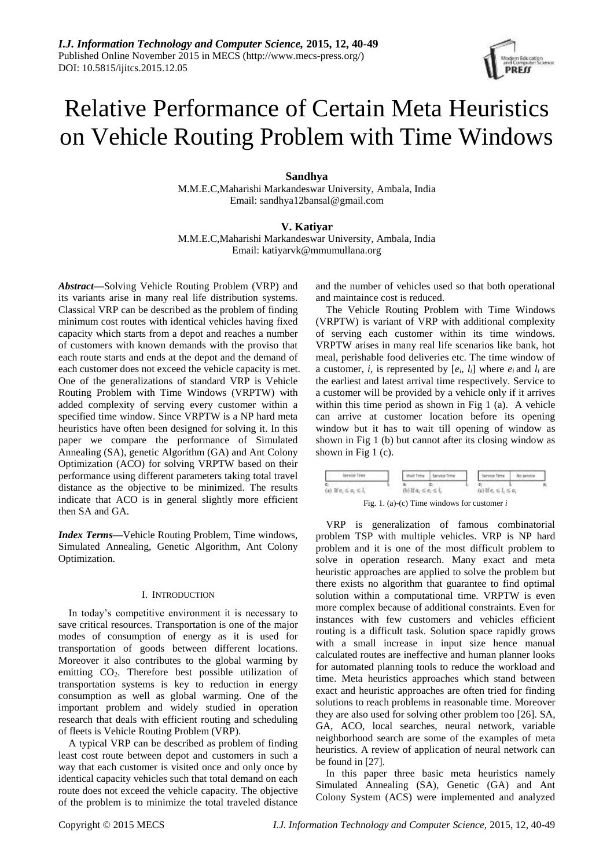# Relative Performance of Certain Meta Heuristics on Vehicle Routing Problem with Time Windows

# **Sandhya**

M.M.E.C,Maharishi Markandeswar University, Ambala, India Email: sandhya12bansal@gmail.com

# **V. Katiyar**

M.M.E.C,Maharishi Markandeswar University, Ambala, India Email: katiyarvk@mmumullana.org

*Abstract***—**Solving Vehicle Routing Problem (VRP) and its variants arise in many real life distribution systems. Classical VRP can be described as the problem of finding minimum cost routes with identical vehicles having fixed capacity which starts from a depot and reaches a number of customers with known demands with the proviso that each route starts and ends at the depot and the demand of each customer does not exceed the vehicle capacity is met. One of the generalizations of standard VRP is Vehicle Routing Problem with Time Windows (VRPTW) with added complexity of serving every customer within a specified time window. Since VRPTW is a NP hard meta heuristics have often been designed for solving it. In this paper we compare the performance of Simulated Annealing (SA), genetic Algorithm (GA) and Ant Colony Optimization (ACO) for solving VRPTW based on their performance using different parameters taking total travel distance as the objective to be minimized. The results indicate that ACO is in general slightly more efficient then SA and GA.

*Index Terms***—**Vehicle Routing Problem, Time windows, Simulated Annealing, Genetic Algorithm, Ant Colony Optimization.

### I. INTRODUCTION

In today's competitive environment it is necessary to save critical resources. Transportation is one of the major modes of consumption of energy as it is used for transportation of goods between different locations. Moreover it also contributes to the global warming by emitting CO2. Therefore best possible utilization of transportation systems is key to reduction in energy consumption as well as global warming. One of the important problem and widely studied in operation research that deals with efficient routing and scheduling of fleets is Vehicle Routing Problem (VRP).

A typical VRP can be described as problem of finding least cost route between depot and customers in such a way that each customer is visited once and only once by identical capacity vehicles such that total demand on each route does not exceed the vehicle capacity. The objective of the problem is to minimize the total traveled distance and the number of vehicles used so that both operational and maintaince cost is reduced.

The Vehicle Routing Problem with Time Windows (VRPTW) is variant of VRP with additional complexity of serving each customer within its time windows. VRPTW arises in many real life scenarios like bank, hot meal, perishable food deliveries etc. The time window of a customer, *i*, is represented by  $[e_i, l_i]$  where  $e_i$  and  $l_i$  are the earliest and latest arrival time respectively. Service to a customer will be provided by a vehicle only if it arrives within this time period as shown in Fig 1 (a). A vehicle can arrive at customer location before its opening window but it has to wait till opening of window as shown in Fig 1 (b) but cannot after its closing window as shown in Fig 1 (c).



VRP is generalization of famous combinatorial problem TSP with multiple vehicles. VRP is NP hard problem and it is one of the most difficult problem to solve in operation research. Many exact and meta heuristic approaches are applied to solve the problem but there exists no algorithm that guarantee to find optimal solution within a computational time. VRPTW is even more complex because of additional constraints. Even for instances with few customers and vehicles efficient routing is a difficult task. Solution space rapidly grows with a small increase in input size hence manual calculated routes are ineffective and human planner looks for automated planning tools to reduce the workload and time. Meta heuristics approaches which stand between exact and heuristic approaches are often tried for finding solutions to reach problems in reasonable time. Moreover they are also used for solving other problem too [26]. SA, GA, ACO, local searches, neural network, variable neighborhood search are some of the examples of meta heuristics. A review of application of neural network can be found in [27].

In this paper three basic meta heuristics namely Simulated Annealing (SA), Genetic (GA) and Ant Colony System (ACS) were implemented and analyzed

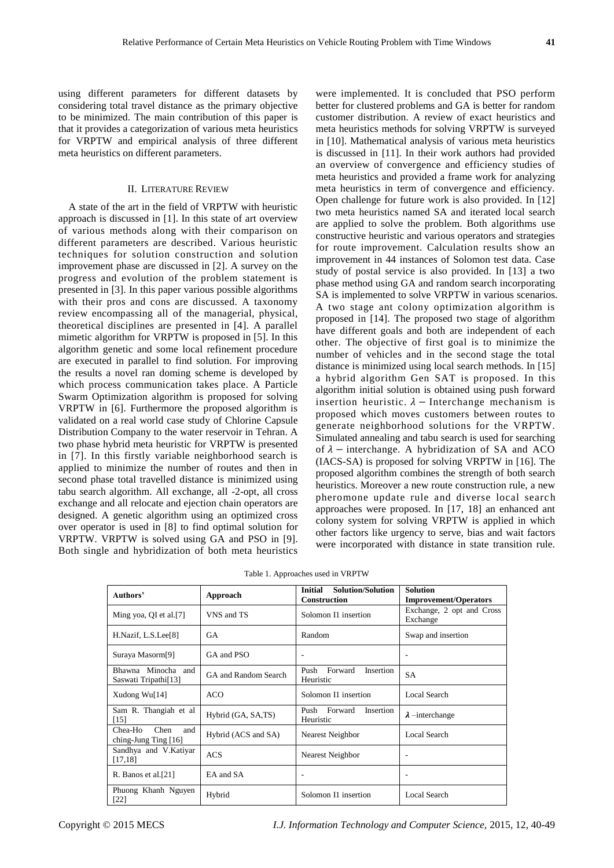using different parameters for different datasets by considering total travel distance as the primary objective to be minimized. The main contribution of this paper is that it provides a categorization of various meta heuristics for VRPTW and empirical analysis of three different meta heuristics on different parameters.

# II. LITERATURE REVIEW

A state of the art in the field of VRPTW with heuristic approach is discussed in [1]. In this state of art overview of various methods along with their comparison on different parameters are described. Various heuristic techniques for solution construction and solution improvement phase are discussed in [2]. A survey on the progress and evolution of the problem statement is presented in [3]. In this paper various possible algorithms with their pros and cons are discussed. A taxonomy review encompassing all of the managerial, physical, theoretical disciplines are presented in [4]. A parallel mimetic algorithm for VRPTW is proposed in [5]. In this algorithm genetic and some local refinement procedure are executed in parallel to find solution. For improving the results a novel ran doming scheme is developed by which process communication takes place. A Particle Swarm Optimization algorithm is proposed for solving VRPTW in [6]. Furthermore the proposed algorithm is validated on a real world case study of Chlorine Capsule Distribution Company to the water reservoir in Tehran. A two phase hybrid meta heuristic for VRPTW is presented in [7]. In this firstly variable neighborhood search is applied to minimize the number of routes and then in second phase total travelled distance is minimized using tabu search algorithm. All exchange, all -2-opt, all cross exchange and all relocate and ejection chain operators are designed. A genetic algorithm using an optimized cross over operator is used in [8] to find optimal solution for VRPTW. VRPTW is solved using GA and PSO in [9]. Both single and hybridization of both meta heuristics

were implemented. It is concluded that PSO perform better for clustered problems and GA is better for random customer distribution. A review of exact heuristics and meta heuristics methods for solving VRPTW is surveyed in [10]. Mathematical analysis of various meta heuristics is discussed in [11]. In their work authors had provided an overview of convergence and efficiency studies of meta heuristics and provided a frame work for analyzing meta heuristics in term of convergence and efficiency. Open challenge for future work is also provided. In [12] two meta heuristics named SA and iterated local search are applied to solve the problem. Both algorithms use constructive heuristic and various operators and strategies for route improvement. Calculation results show an improvement in 44 instances of Solomon test data. Case study of postal service is also provided. In [13] a two phase method using GA and random search incorporating SA is implemented to solve VRPTW in various scenarios. A two stage ant colony optimization algorithm is proposed in [14]. The proposed two stage of algorithm have different goals and both are independent of each other. The objective of first goal is to minimize the number of vehicles and in the second stage the total distance is minimized using local search methods. In [15] a hybrid algorithm Gen SAT is proposed. In this algorithm initial solution is obtained using push forward insertion heuristic.  $\lambda$  – Interchange mechanism is proposed which moves customers between routes to generate neighborhood solutions for the VRPTW. Simulated annealing and tabu search is used for searching of  $\lambda$  – interchange. A hybridization of SA and ACO (IACS-SA) is proposed for solving VRPTW in [16]. The proposed algorithm combines the strength of both search heuristics. Moreover a new route construction rule, a new pheromone update rule and diverse local search approaches were proposed. In [17, 18] an enhanced ant colony system for solving VRPTW is applied in which other factors like urgency to serve, bias and wait factors were incorporated with distance in state transition rule.

Table 1. Approaches used in VRPTW

| Authors'                                         | Approach             | <b>Initial</b><br>Solution/Solution<br><b>Construction</b> | <b>Solution</b><br><b>Improvement/Operators</b> |
|--------------------------------------------------|----------------------|------------------------------------------------------------|-------------------------------------------------|
| Ming yoa, QI et al.[7]                           | VNS and TS           | Solomon I1 insertion                                       | Exchange, 2 opt and Cross<br>Exchange           |
| H.Nazif, L.S.Lee[8]                              | GA                   | Random                                                     | Swap and insertion                              |
| Suraya Masorm <sup>[9]</sup>                     | GA and PSO           |                                                            |                                                 |
| Bhawna Minocha and<br>Saswati Tripathi[13]       | GA and Random Search | Forward<br>Push<br><b>Insertion</b><br>Heuristic           | <b>SA</b>                                       |
| Xudong Wu $[14]$                                 | ACO                  | Solomon I1 insertion                                       | Local Search                                    |
| Sam R. Thangiah et al<br>[15]                    | Hybrid (GA, SA,TS)   | Forward<br>Push<br>Insertion<br>Heuristic                  | $\lambda$ -interchange                          |
| Chea-Ho<br>Chen<br>and<br>ching-Jung Ting $[16]$ | Hybrid (ACS and SA)  | Nearest Neighbor                                           | Local Search                                    |
| Sandhya and V.Katiyar<br>[17, 18]                | <b>ACS</b>           | Nearest Neighbor                                           |                                                 |
| R. Banos et al. $[21]$                           | EA and SA            |                                                            | ۰                                               |
| Phuong Khanh Nguyen<br>[22]                      | Hybrid               | Solomon I1 insertion                                       | Local Search                                    |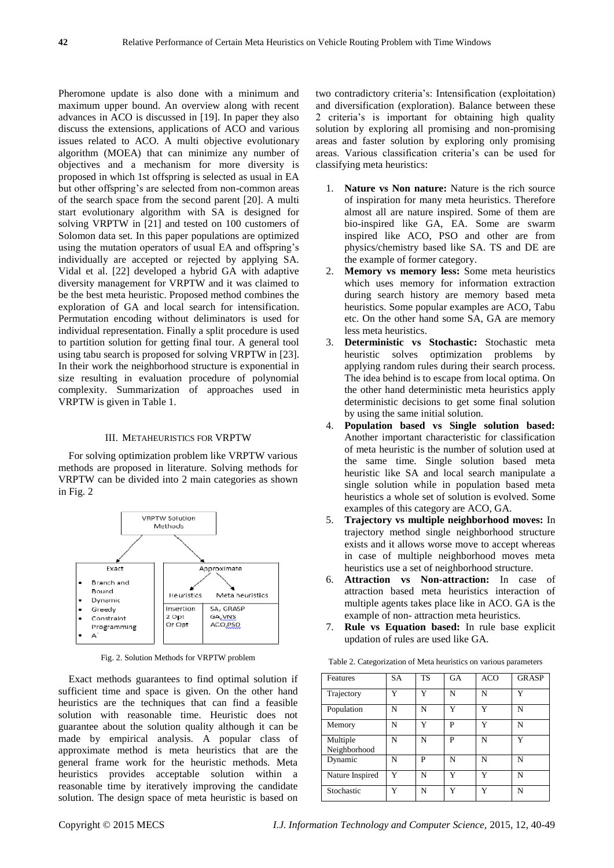Pheromone update is also done with a minimum and maximum upper bound. An overview along with recent advances in ACO is discussed in [19]. In paper they also discuss the extensions, applications of ACO and various issues related to ACO. A multi objective evolutionary algorithm (MOEA) that can minimize any number of objectives and a mechanism for more diversity is proposed in which 1st offspring is selected as usual in EA but other offspring's are selected from non-common areas of the search space from the second parent [20]. A multi start evolutionary algorithm with SA is designed for solving VRPTW in [21] and tested on 100 customers of Solomon data set. In this paper populations are optimized using the mutation operators of usual EA and offspring's individually are accepted or rejected by applying SA. Vidal et al. [22] developed a hybrid GA with adaptive diversity management for VRPTW and it was claimed to be the best meta heuristic. Proposed method combines the exploration of GA and local search for intensification. Permutation encoding without deliminators is used for individual representation. Finally a split procedure is used to partition solution for getting final tour. A general tool using tabu search is proposed for solving VRPTW in [23]. In their work the neighborhood structure is exponential in size resulting in evaluation procedure of polynomial complexity. Summarization of approaches used in VRPTW is given in Table 1.

# III. METAHEURISTICS FOR VRPTW

For solving optimization problem like VRPTW various methods are proposed in literature. Solving methods for VRPTW can be divided into 2 main categories as shown in Fig. 2



Fig. 2. Solution Methods for VRPTW problem

Exact methods guarantees to find optimal solution if sufficient time and space is given. On the other hand heuristics are the techniques that can find a feasible solution with reasonable time. Heuristic does not guarantee about the solution quality although it can be made by empirical analysis. A popular class of approximate method is meta heuristics that are the general frame work for the heuristic methods. Meta heuristics provides acceptable solution within a reasonable time by iteratively improving the candidate solution. The design space of meta heuristic is based on

two contradictory criteria's: Intensification (exploitation) and diversification (exploration). Balance between these 2 criteria's is important for obtaining high quality solution by exploring all promising and non-promising areas and faster solution by exploring only promising areas. Various classification criteria's can be used for classifying meta heuristics:

- 1. **Nature vs Non nature:** Nature is the rich source of inspiration for many meta heuristics. Therefore almost all are nature inspired. Some of them are bio-inspired like GA, EA. Some are swarm inspired like ACO, PSO and other are from physics/chemistry based like SA. TS and DE are the example of former category.
- 2. **Memory vs memory less:** Some meta heuristics which uses memory for information extraction during search history are memory based meta heuristics. Some popular examples are ACO, Tabu etc. On the other hand some SA, GA are memory less meta heuristics.
- 3. **Deterministic vs Stochastic:** Stochastic meta heuristic solves optimization problems by applying random rules during their search process. The idea behind is to escape from local optima. On the other hand deterministic meta heuristics apply deterministic decisions to get some final solution by using the same initial solution.
- 4. **Population based vs Single solution based:**  Another important characteristic for classification of meta heuristic is the number of solution used at the same time. Single solution based meta heuristic like SA and local search manipulate a single solution while in population based meta heuristics a whole set of solution is evolved. Some examples of this category are ACO, GA.
- 5. **Trajectory vs multiple neighborhood moves:** In trajectory method single neighborhood structure exists and it allows worse move to accept whereas in case of multiple neighborhood moves meta heuristics use a set of neighborhood structure.
- 6. **Attraction vs Non-attraction:** In case of attraction based meta heuristics interaction of multiple agents takes place like in ACO. GA is the example of non- attraction meta heuristics.
- 7. **Rule vs Equation based:** In rule base explicit updation of rules are used like GA.

| Features                 | <b>SA</b> | <b>TS</b> | <b>GA</b>    | <b>ACO</b>   | <b>GRASP</b> |
|--------------------------|-----------|-----------|--------------|--------------|--------------|
| Trajectory               | v         | v         | N            | N            |              |
| Population               | N         | N         | v            | Y            | N            |
| Memory                   | N         | Y         | P            | v            | N            |
| Multiple<br>Neighborhood | N         | N         | P            | N            | $\mathbf v$  |
| Dynamic                  | N         | P         | N            | N            | N            |
| Nature Inspired          | Y         | N         | $\mathbf{v}$ | $\mathbf{v}$ | N            |
| Stochastic               | Y         | N         | v            | v            | N            |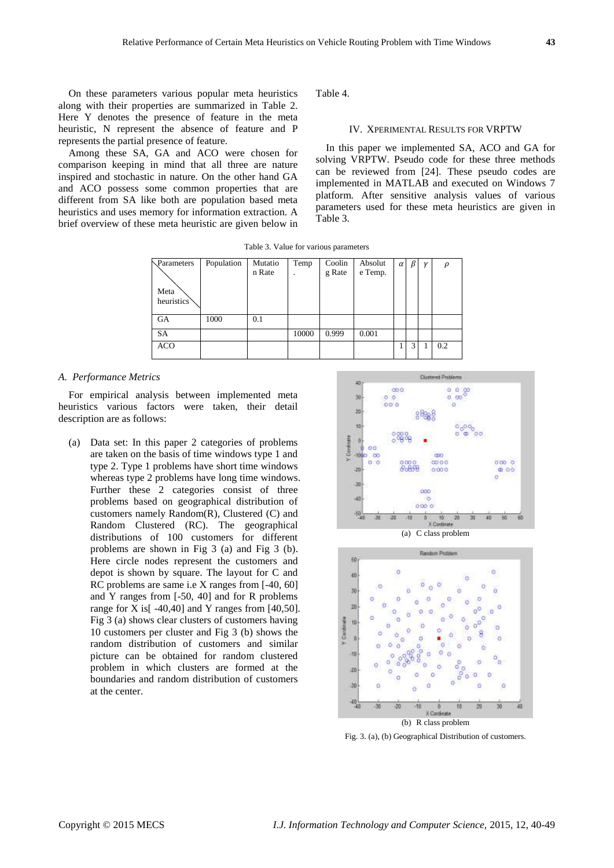On these parameters various popular meta heuristics along with their properties are summarized in Table 2. Here Y denotes the presence of feature in the meta heuristic, N represent the absence of feature and P represents the partial presence of feature.

Among these SA, GA and ACO were chosen for comparison keeping in mind that all three are nature inspired and stochastic in nature. On the other hand GA and ACO possess some common properties that are different from SA like both are population based meta heuristics and uses memory for information extraction. A brief overview of these meta heuristic are given below in Table 4.

# IV. XPERIMENTAL RESULTS FOR VRPTW

In this paper we implemented SA, ACO and GA for solving VRPTW. Pseudo code for these three methods can be reviewed from [24]. These pseudo codes are implemented in MATLAB and executed on Windows 7 platform. After sensitive analysis values of various parameters used for these meta heuristics are given in Table 3.

Table 3. Value for various parameters

| Parameters | Population | Mutatio | Temp  | Coolin | Absolut | $\alpha$ | $\beta$ | $\mathcal V$ | ρ   |
|------------|------------|---------|-------|--------|---------|----------|---------|--------------|-----|
|            |            | n Rate  |       | g Rate | e Temp. |          |         |              |     |
|            |            |         |       |        |         |          |         |              |     |
| Meta       |            |         |       |        |         |          |         |              |     |
| heuristics |            |         |       |        |         |          |         |              |     |
|            |            |         |       |        |         |          |         |              |     |
| GA         | 1000       | 0.1     |       |        |         |          |         |              |     |
| SA         |            |         | 10000 | 0.999  | 0.001   |          |         |              |     |
| <b>ACO</b> |            |         |       |        |         |          | 3       |              | 0.2 |
|            |            |         |       |        |         |          |         |              |     |

## *A. Performance Metrics*

For empirical analysis between implemented meta heuristics various factors were taken, their detail description are as follows:

(a) Data set: In this paper 2 categories of problems are taken on the basis of time windows type 1 and type 2. Type 1 problems have short time windows whereas type 2 problems have long time windows. Further these 2 categories consist of three problems based on geographical distribution of customers namely Random(R), Clustered (C) and Random Clustered (RC). The geographical distributions of 100 customers for different problems are shown in Fig 3 (a) and Fig 3 (b). Here circle nodes represent the customers and depot is shown by square. The layout for C and RC problems are same i.e X ranges from [-40, 60] and Y ranges from [-50, 40] and for R problems range for X is  $[-40, 40]$  and Y ranges from  $[40, 50]$ . Fig 3 (a) shows clear clusters of customers having 10 customers per cluster and Fig 3 (b) shows the random distribution of customers and similar picture can be obtained for random clustered problem in which clusters are formed at the boundaries and random distribution of customers at the center.





Fig. 3. (a), (b) Geographical Distribution of customers.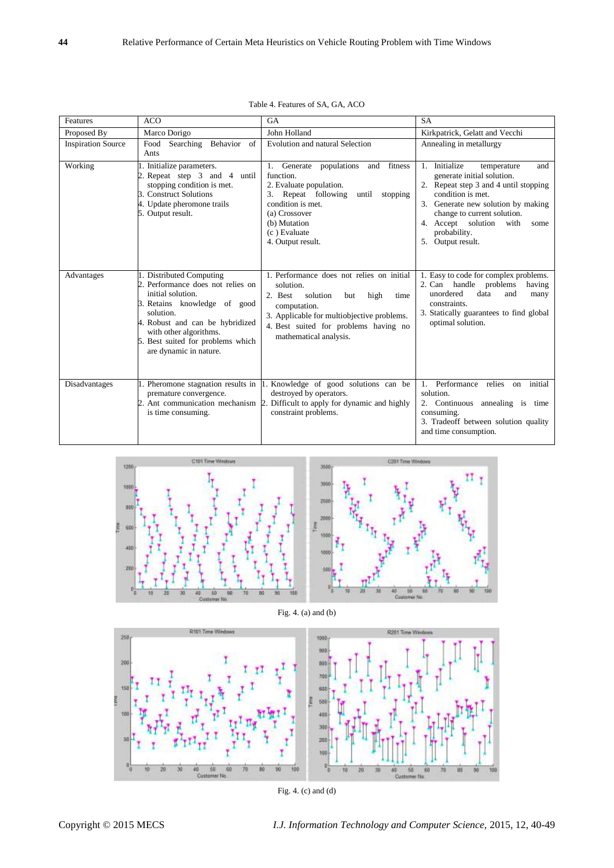| Features                  | <b>ACO</b>                                                                                                                                                                                                                                                  | <b>GA</b>                                                                                                                                                                                                                             | <b>SA</b>                                                                                                                                                                                                                                                                          |
|---------------------------|-------------------------------------------------------------------------------------------------------------------------------------------------------------------------------------------------------------------------------------------------------------|---------------------------------------------------------------------------------------------------------------------------------------------------------------------------------------------------------------------------------------|------------------------------------------------------------------------------------------------------------------------------------------------------------------------------------------------------------------------------------------------------------------------------------|
| Proposed By               | Marco Dorigo                                                                                                                                                                                                                                                | John Holland                                                                                                                                                                                                                          | Kirkpatrick, Gelatt and Vecchi                                                                                                                                                                                                                                                     |
| <b>Inspiration Source</b> | Behavior<br>Food<br>Searching<br>of<br>Ants                                                                                                                                                                                                                 | Evolution and natural Selection                                                                                                                                                                                                       | Annealing in metallurgy                                                                                                                                                                                                                                                            |
| Working                   | 1. Initialize parameters.<br>2. Repeat step 3 and 4<br>until<br>stopping condition is met.<br><b>B.</b> Construct Solutions<br>4. Update pheromone trails<br>5. Output result.                                                                              | fitness<br>1. Generate<br>populations<br>and<br>function.<br>2. Evaluate population.<br>Repeat following<br>3.<br>until<br>stopping<br>condition is met.<br>(a) Crossover<br>(b) Mutation<br>(c) Evaluate<br>4. Output result.        | Initialize<br>1.<br>and<br>temperature<br>generate initial solution.<br>Repeat step 3 and 4 until stopping<br>condition is met.<br>3. Generate new solution by making<br>change to current solution.<br>4. Accept solution<br>with<br>some<br>probability.<br>Output result.<br>5. |
| Advantages                | 1. Distributed Computing<br>2. Performance does not relies on<br>initial solution.<br>B. Retains knowledge of good<br>solution.<br>4. Robust and can be hybridized<br>with other algorithms.<br>5. Best suited for problems which<br>are dynamic in nature. | 1. Performance does not relies on initial<br>solution.<br>solution<br>2. Best<br>but<br>high<br>time<br>computation.<br>3. Applicable for multiobjective problems.<br>4. Best suited for problems having no<br>mathematical analysis. | 1. Easy to code for complex problems.<br>2. Can handle problems<br>having<br>unordered<br>data<br>and<br>many<br>constraints.<br>3. Statically guarantees to find global<br>optimal solution.                                                                                      |
| Disadvantages             | premature convergence.<br>is time consuming.                                                                                                                                                                                                                | 1. Pheromone stagnation results in 1. Knowledge of good solutions can be<br>destroyed by operators.<br>2. Ant communication mechanism 2. Difficult to apply for dynamic and highly<br>constraint problems.                            | Performance relies<br>1<br>initial<br>on<br>solution.<br>2. Continuous annealing is time<br>consuming.<br>3. Tradeoff between solution quality<br>and time consumption.                                                                                                            |

| Table 4. Features of SA, GA, ACO |
|----------------------------------|
|                                  |







Fig. 4. (c) and (d)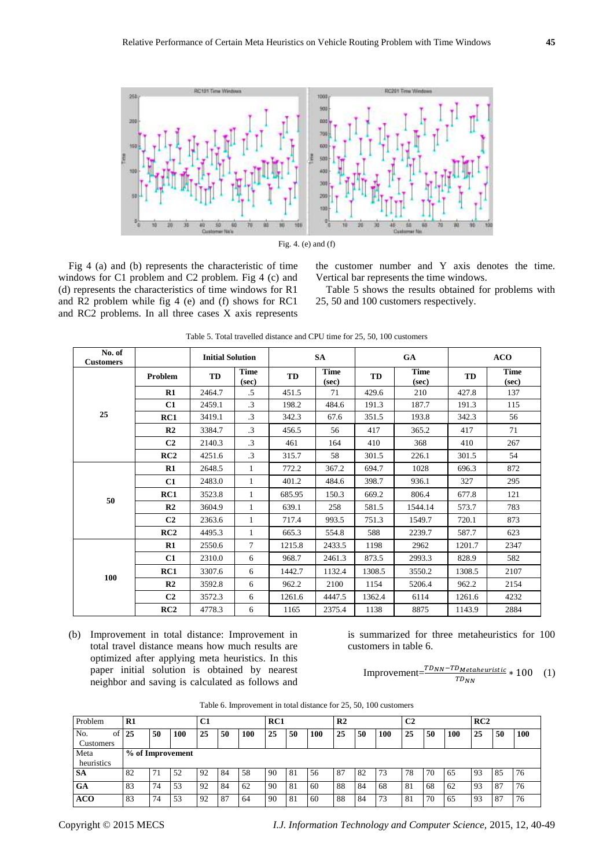



Fig 4 (a) and (b) represents the characteristic of time windows for C1 problem and C2 problem. Fig 4 (c) and (d) represents the characteristics of time windows for R1 and R2 problem while fig 4 (e) and (f) shows for RC1 and RC2 problems. In all three cases X axis represents the customer number and Y axis denotes the time. Vertical bar represents the time windows.

Table 5 shows the results obtained for problems with 25, 50 and 100 customers respectively.

| No. of<br><b>Customers</b> |                | <b>Initial Solution</b> |                      |        | <b>SA</b>            |        | GA                   | <b>ACO</b> |                      |  |
|----------------------------|----------------|-------------------------|----------------------|--------|----------------------|--------|----------------------|------------|----------------------|--|
|                            | Problem        | TD                      | <b>Time</b><br>(sec) | TD     | <b>Time</b><br>(sec) | TD     | <b>Time</b><br>(sec) | <b>TD</b>  | <b>Time</b><br>(sec) |  |
|                            | R1             | 2464.7                  | .5                   | 451.5  | 71                   | 429.6  | 210                  | 427.8      | 137                  |  |
|                            | C1             | 2459.1                  | $\cdot$ 3            | 198.2  | 484.6                | 191.3  | 187.7                | 191.3      | 115                  |  |
| 25                         | RC1            | 3419.1                  | $\cdot$ 3            | 342.3  | 67.6                 | 351.5  | 193.8                | 342.3      | 56                   |  |
|                            | R <sub>2</sub> | 3384.7                  | $\cdot$ 3            | 456.5  | 56                   | 417    | 365.2                | 417        | 71                   |  |
|                            | C <sub>2</sub> | 2140.3                  | $\cdot$ 3            | 461    | 164                  | 410    | 368                  | 410        | 267                  |  |
|                            | RC2            | 4251.6                  | $\cdot$ 3            | 315.7  | 58                   | 301.5  | 226.1                | 301.5      | 54                   |  |
|                            | $\mathbf{R}1$  | 2648.5                  | 1                    | 772.2  | 367.2                | 694.7  | 1028                 | 696.3      | 872                  |  |
|                            | C1             | 2483.0                  | 1                    | 401.2  | 484.6                | 398.7  | 936.1                | 327        | 295                  |  |
| 50                         | RC1            | 3523.8                  | 1                    | 685.95 | 150.3                | 669.2  | 806.4                | 677.8      | 121                  |  |
|                            | R <sub>2</sub> | 3604.9                  | 1                    | 639.1  | 258                  | 581.5  | 1544.14              | 573.7      | 783                  |  |
|                            | C <sub>2</sub> | 2363.6                  | 1                    | 717.4  | 993.5                | 751.3  | 1549.7               | 720.1      | 873                  |  |
|                            | RC2            | 4495.3                  | 1                    | 665.3  | 554.8                | 588    | 2239.7               | 587.7      | 623                  |  |
|                            | $\mathbf{R}1$  | 2550.6                  | 7                    | 1215.8 | 2433.5               | 1198   | 2962                 | 1201.7     | 2347                 |  |
|                            | C1             | 2310.0                  | 6                    | 968.7  | 2461.3               | 873.5  | 2993.3               | 828.9      | 582                  |  |
|                            | RC1            | 3307.6                  | 6                    | 1442.7 | 1132.4               | 1308.5 | 3550.2               | 1308.5     | 2107                 |  |
| 100                        | R2             | 3592.8                  | 6                    | 962.2  | 2100                 | 1154   | 5206.4               | 962.2      | 2154                 |  |
|                            | C <sub>2</sub> | 3572.3                  | 6                    | 1261.6 | 4447.5               | 1362.4 | 6114                 | 1261.6     | 4232                 |  |
|                            | RC2            | 4778.3                  | 6                    | 1165   | 2375.4               | 1138   | 8875                 | 1143.9     | 2884                 |  |

| Table 5. Total travelled distance and CPU time for 25, 50, 100 customers |  |
|--------------------------------------------------------------------------|--|
|--------------------------------------------------------------------------|--|

(b) Improvement in total distance: Improvement in total travel distance means how much results are optimized after applying meta heuristics. In this paper initial solution is obtained by nearest neighbor and saving is calculated as follows and is summarized for three metaheuristics for 100 customers in table 6.

$$
Improvement = \frac{TD_{NN} - TD_{Metaheuristic}}{T D_{NN}} * 100 \quad (1)
$$

| Table 6. Improvement in total distance for 25, 50, 100 customers |  |  |
|------------------------------------------------------------------|--|--|
|------------------------------------------------------------------|--|--|

| Problem    | R1               |    |     | C1 |    |     | RC1 |     |     | R <sub>2</sub> |    |     | C <sub>2</sub> |    |     | RC2 |      |     |
|------------|------------------|----|-----|----|----|-----|-----|-----|-----|----------------|----|-----|----------------|----|-----|-----|------|-----|
| No.<br>of  | 25               | 50 | 100 | 25 | 50 | 100 | 25  | 50  | 100 | 25             | 50 | 100 | 25             | 50 | 100 | 25  | 50   | 100 |
| Customers  |                  |    |     |    |    |     |     |     |     |                |    |     |                |    |     |     |      |     |
| Meta       | % of Improvement |    |     |    |    |     |     |     |     |                |    |     |                |    |     |     |      |     |
| heuristics |                  |    |     |    |    |     |     |     |     |                |    |     |                |    |     |     |      |     |
| <b>SA</b>  | 82               |    | 52  | 92 | 84 | 58  | 90  | -81 | 56  | -87            | 82 | 73  | 78             | 70 | 65  | 93  | 85   | 76  |
| GA         | 83               | 74 | 53  | 92 | 84 | 62  | 90  | 81  | 60  | 88             | 84 | 68  | 81             | 68 | 62  | 93  | - 87 | 76  |
| <b>ACO</b> | 83               | 74 | 53  | 92 | 87 | 64  | 90  | 81  | 60  | 88             | 84 | 73  | 81             | 70 | 65  | 93  | 87   | 76  |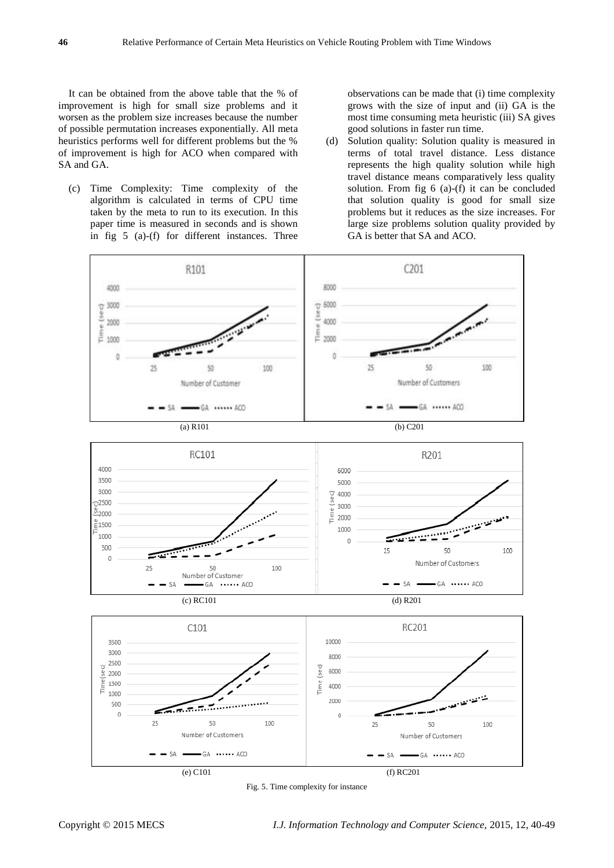It can be obtained from the above table that the % of improvement is high for small size problems and it worsen as the problem size increases because the number of possible permutation increases exponentially. All meta heuristics performs well for different problems but the % of improvement is high for ACO when compared with SA and GA.

(c) Time Complexity: Time complexity of the algorithm is calculated in terms of CPU time taken by the meta to run to its execution. In this paper time is measured in seconds and is shown in fig 5 (a)-(f) for different instances. Three observations can be made that (i) time complexity grows with the size of input and (ii) GA is the most time consuming meta heuristic (iii) SA gives good solutions in faster run time.

(d) Solution quality: Solution quality is measured in terms of total travel distance. Less distance represents the high quality solution while high travel distance means comparatively less quality solution. From fig 6 (a)-(f) it can be concluded that solution quality is good for small size problems but it reduces as the size increases. For large size problems solution quality provided by GA is better that SA and ACO.



Fig. 5. Time complexity for instance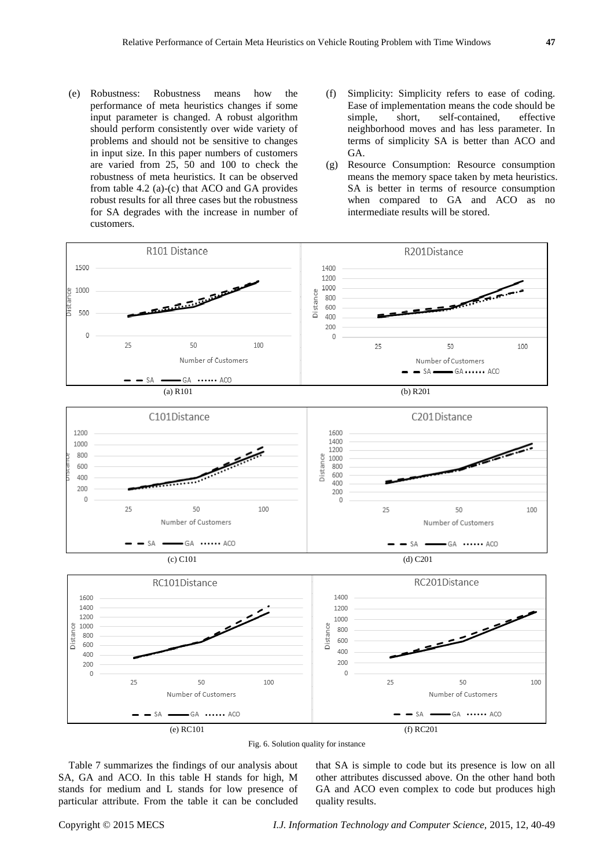- (e) Robustness: Robustness means how the performance of meta heuristics changes if some input parameter is changed. A robust algorithm should perform consistently over wide variety of problems and should not be sensitive to changes in input size. In this paper numbers of customers are varied from 25, 50 and 100 to check the robustness of meta heuristics. It can be observed from table 4.2 (a)-(c) that ACO and GA provides robust results for all three cases but the robustness for SA degrades with the increase in number of customers.
- (f) Simplicity: Simplicity refers to ease of coding. Ease of implementation means the code should be<br>simple, short, self-contained, effective simple, short, self-contained, neighborhood moves and has less parameter. In terms of simplicity SA is better than ACO and GA.
- (g) Resource Consumption: Resource consumption means the memory space taken by meta heuristics. SA is better in terms of resource consumption when compared to GA and ACO as no intermediate results will be stored.



Fig. 6. Solution quality for instance

Table 7 summarizes the findings of our analysis about SA, GA and ACO. In this table H stands for high, M stands for medium and L stands for low presence of particular attribute. From the table it can be concluded that SA is simple to code but its presence is low on all other attributes discussed above. On the other hand both GA and ACO even complex to code but produces high quality results.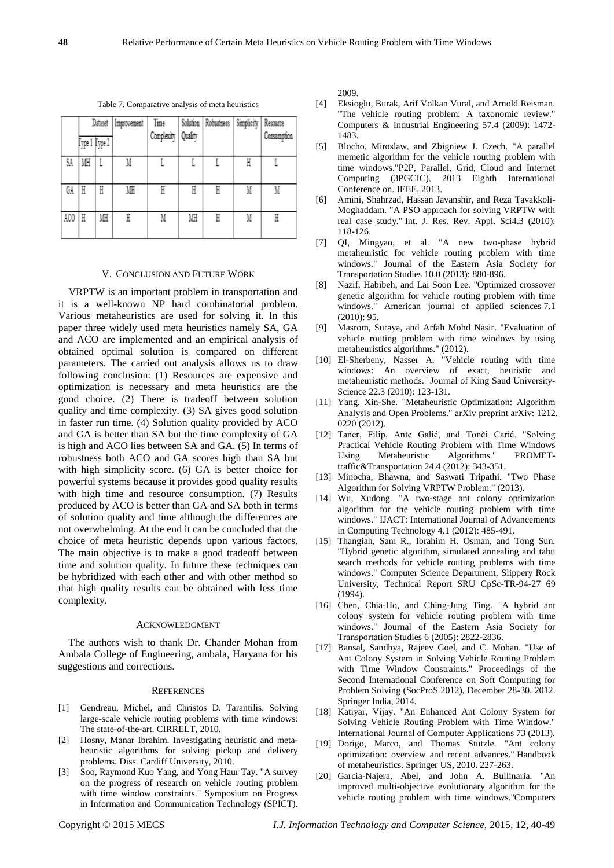Table 7. Comparative analysis of meta heuristics

|     | Improvement<br>Dataset |    |    | Time               |    | Solution Robustness | Simplicity | Resource    |
|-----|------------------------|----|----|--------------------|----|---------------------|------------|-------------|
|     | Fype 1 Fype 2          |    |    | Complexity Quality |    |                     |            | Consumption |
| SA. | MH                     |    | M  |                    |    |                     | H          |             |
| ĠА  | H                      | H  | ИН | H                  | H  | Η                   | M          | M           |
| ACO | H                      | MH | H  | M                  | MH | Η                   | M          | H           |

### V. CONCLUSION AND FUTURE WORK

VRPTW is an important problem in transportation and it is a well-known NP hard combinatorial problem. Various metaheuristics are used for solving it. In this paper three widely used meta heuristics namely SA, GA and ACO are implemented and an empirical analysis of obtained optimal solution is compared on different parameters. The carried out analysis allows us to draw following conclusion: (1) Resources are expensive and optimization is necessary and meta heuristics are the good choice. (2) There is tradeoff between solution quality and time complexity. (3) SA gives good solution in faster run time. (4) Solution quality provided by ACO and GA is better than SA but the time complexity of GA is high and ACO lies between SA and GA. (5) In terms of robustness both ACO and GA scores high than SA but with high simplicity score. (6) GA is better choice for powerful systems because it provides good quality results with high time and resource consumption. (7) Results produced by ACO is better than GA and SA both in terms of solution quality and time although the differences are not overwhelming. At the end it can be concluded that the choice of meta heuristic depends upon various factors. The main objective is to make a good tradeoff between time and solution quality. In future these techniques can be hybridized with each other and with other method so that high quality results can be obtained with less time complexity.

#### ACKNOWLEDGMENT

The authors wish to thank Dr. Chander Mohan from Ambala College of Engineering, ambala, Haryana for his suggestions and corrections.

#### **REFERENCES**

- [1] Gendreau, Michel, and Christos D. Tarantilis. Solving large-scale vehicle routing problems with time windows: The state-of-the-art. CIRRELT, 2010.
- [2] Hosny, Manar Ibrahim. Investigating heuristic and metaheuristic algorithms for solving pickup and delivery problems. Diss. Cardiff University, 2010.
- [3] Soo, Raymond Kuo Yang, and Yong Haur Tay. "A survey on the progress of research on vehicle routing problem with time window constraints." Symposium on Progress in Information and Communication Technology (SPICT).

2009.

- [4] Eksioglu, Burak, Arif Volkan Vural, and Arnold Reisman. "The vehicle routing problem: A taxonomic review." Computers & Industrial Engineering 57.4 (2009): 1472- 1483.
- [5] Blocho, Miroslaw, and Zbigniew J. Czech. "A parallel memetic algorithm for the vehicle routing problem with time windows."P2P, Parallel, Grid, Cloud and Internet Computing (3PGCIC), 2013 Eighth International Conference on. IEEE, 2013.
- [6] Amini, Shahrzad, Hassan Javanshir, and Reza Tavakkoli-Moghaddam. "A PSO approach for solving VRPTW with real case study." Int. J. Res. Rev. Appl. Sci4.3 (2010): 118-126.
- [7] QI, Mingyao, et al. "A new two-phase hybrid metaheuristic for vehicle routing problem with time windows." Journal of the Eastern Asia Society for Transportation Studies 10.0 (2013): 880-896.
- [8] Nazif, Habibeh, and Lai Soon Lee. "Optimized crossover genetic algorithm for vehicle routing problem with time windows." American journal of applied sciences 7.1 (2010): 95.
- [9] Masrom, Suraya, and Arfah Mohd Nasir. "Evaluation of vehicle routing problem with time windows by using metaheuristics algorithms." (2012).
- [10] El-Sherbeny, Nasser A. "Vehicle routing with time windows: An overview of exact, heuristic and metaheuristic methods." Journal of King Saud University-Science 22.3 (2010): 123-131.
- [11] Yang, Xin-She. "Metaheuristic Optimization: Algorithm Analysis and Open Problems." arXiv preprint arXiv: 1212. 0220 (2012).
- [12] Taner, Filip, Ante Galić, and Tonči Carić. "Solving Practical Vehicle Routing Problem with Time Windows Using Metaheuristic Algorithms." PROMETtraffic&Transportation 24.4 (2012): 343-351.
- [13] Minocha, Bhawna, and Saswati Tripathi. "Two Phase Algorithm for Solving VRPTW Problem." (2013).
- [14] Wu, Xudong. "A two-stage ant colony optimization algorithm for the vehicle routing problem with time windows." IJACT: International Journal of Advancements in Computing Technology 4.1 (2012): 485-491.
- [15] Thangiah, Sam R., Ibrahim H. Osman, and Tong Sun. "Hybrid genetic algorithm, simulated annealing and tabu search methods for vehicle routing problems with time windows." Computer Science Department, Slippery Rock University, Technical Report SRU CpSc-TR-94-27 69 (1994).
- [16] Chen, Chia-Ho, and Ching-Jung Ting. "A hybrid ant colony system for vehicle routing problem with time windows." Journal of the Eastern Asia Society for Transportation Studies 6 (2005): 2822-2836.
- [17] Bansal, Sandhya, Rajeev Goel, and C. Mohan. "Use of Ant Colony System in Solving Vehicle Routing Problem with Time Window Constraints." Proceedings of the Second International Conference on Soft Computing for Problem Solving (SocProS 2012), December 28-30, 2012. Springer India, 2014.
- [18] Katiyar, Vijay. "An Enhanced Ant Colony System for Solving Vehicle Routing Problem with Time Window." International Journal of Computer Applications 73 (2013).
- [19] Dorigo, Marco, and Thomas Stützle. "Ant colony optimization: overview and recent advances." Handbook of metaheuristics. Springer US, 2010. 227-263.
- [20] Garcia-Najera, Abel, and John A. Bullinaria. "An improved multi-objective evolutionary algorithm for the vehicle routing problem with time windows."Computers